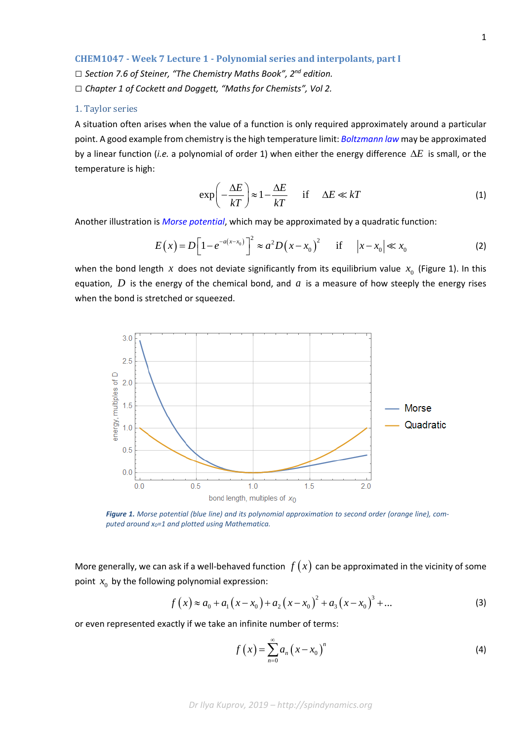*□ Section 7.6 of Steiner, "The Chemistry Maths Book", 2nd edition. □ Chapter 1 of Cockett and Doggett, "Maths for Chemists", Vol 2.*

## 1. Taylor series

A situation often arises when the value of a function is only required approximately around a particular point. A good example from chemistry is the high temperature limit: *[Boltzmann law](https://en.wikipedia.org/wiki/Maxwell%E2%80%93Boltzmann_statistics)* may be approximated by a linear function (*i.e.* a polynomial of order 1) when either the energy difference ∆*E* is small, or the temperature is high:

$$
\exp\left(-\frac{\Delta E}{kT}\right) \approx 1 - \frac{\Delta E}{kT} \quad \text{if} \quad \Delta E \ll kT \tag{1}
$$

Another illustration is *[Morse potential](https://en.wikipedia.org/wiki/Morse_potential)*, which may be approximated by a quadratic function:

$$
E(x) = D\Big[1 - e^{-a(x - x_0)}\Big]^2 \approx a^2 D(x - x_0)^2 \quad \text{if} \quad |x - x_0| \ll x_0 \tag{2}
$$

when the bond length *x* does not deviate significantly from its equilibrium value  $x_0$  (Figure 1). In this equation,  $D$  is the energy of the chemical bond, and  $a$  is a measure of how steeply the energy rises when the bond is stretched or squeezed.



*Figure 1. Morse potential (blue line) and its polynomial approximation to second order (orange line), computed around x0=1 and plotted using Mathematica.*

More generally, we can ask if a well-behaved function  $f(x)$  can be approximated in the vicinity of some point  $x_0$  by the following polynomial expression:

$$
f(x) \approx a_0 + a_1(x - x_0) + a_2(x - x_0)^2 + a_3(x - x_0)^3 + \dots
$$
 (3)

or even represented exactly if we take an infinite number of terms:

$$
f\left(x\right) = \sum_{n=0}^{\infty} a_n \left(x - x_0\right)^n \tag{4}
$$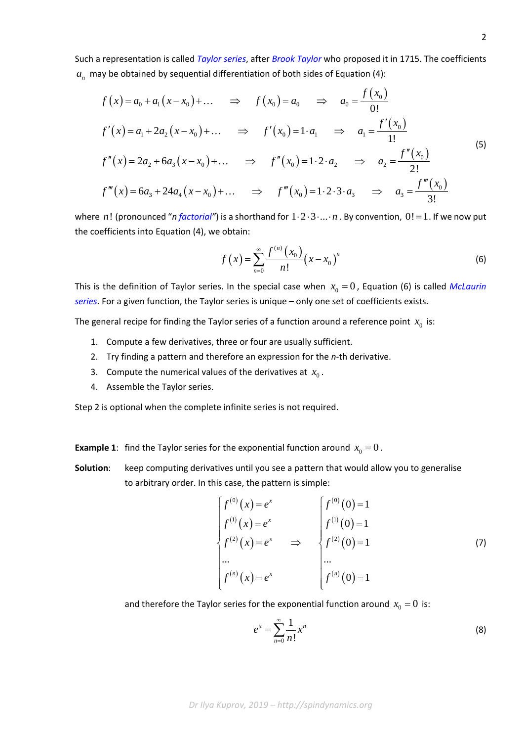Such a representation is called *[Taylor series](https://en.wikipedia.org/wiki/Taylor_series)*, after *[Brook Taylor](https://en.wikipedia.org/wiki/Brook_Taylor)* who proposed it in 1715. The coefficients  $a_n$  may be obtained by sequential differentiation of both sides of Equation (4):

$$
f(x) = a_0 + a_1(x - x_0) + \dots \implies f(x_0) = a_0 \implies a_0 = \frac{f(x_0)}{0!}
$$
  

$$
f'(x) = a_1 + 2a_2(x - x_0) + \dots \implies f'(x_0) = 1 \cdot a_1 \implies a_1 = \frac{f'(x_0)}{1!}
$$
  

$$
f''(x) = 2a_2 + 6a_3(x - x_0) + \dots \implies f''(x_0) = 1 \cdot 2 \cdot a_2 \implies a_2 = \frac{f''(x_0)}{2!}
$$
  

$$
f'''(x) = 6a_3 + 24a_4(x - x_0) + \dots \implies f'''(x_0) = 1 \cdot 2 \cdot 3 \cdot a_3 \implies a_3 = \frac{f'''(x_0)}{3!}
$$
 (5)

where *n*! (pronounced "*[n factorial"](https://en.wikipedia.org/wiki/Factorial)*) is a shorthand for  $1 \cdot 2 \cdot 3 \cdot ... \cdot n$ . By convention,  $0! = 1$ . If we now put the coefficients into Equation (4), we obtain:

$$
f(x) = \sum_{n=0}^{\infty} \frac{f^{(n)}(x_0)}{n!} (x - x_0)^n
$$
 (6)

This is the definition of Taylor series. In the special case when  $x_0 = 0$ , Equation (6) is called *McLaurin [series](https://en.wikipedia.org/wiki/Colin_Maclaurin)*. For a given function, the Taylor series is unique – only one set of coefficients exists.

The general recipe for finding the Taylor series of a function around a reference point  $x_0$  is:

- 1. Compute a few derivatives, three or four are usually sufficient.
- 2. Try finding a pattern and therefore an expression for the *n*-th derivative.
- 3. Compute the numerical values of the derivatives at  $x_0$ .
- 4. Assemble the Taylor series.

Step 2 is optional when the complete infinite series is not required.

**Example 1**: find the Taylor series for the exponential function around  $x_0 = 0$ .

**Solution**: keep computing derivatives until you see a pattern that would allow you to generalise to arbitrary order. In this case, the pattern is simple:

$$
\begin{cases}\nf^{(0)}(x) = e^x \\
f^{(1)}(x) = e^x \\
f^{(2)}(x) = e^x \Rightarrow f^{(2)}(0) = 1 \\
\vdots \\
f^{(n)}(x) = e^x\n\end{cases}\n\Rightarrow\n\begin{cases}\nf^{(0)}(0) = 1 \\
f^{(1)}(0) = 1 \\
f^{(2)}(0) = 1 \\
\vdots \\
f^{(n)}(0) = 1\n\end{cases}
$$
\n(7)

and therefore the Taylor series for the exponential function around  $x_0 = 0$  is:

$$
e^x = \sum_{n=0}^{\infty} \frac{1}{n!} x^n \tag{8}
$$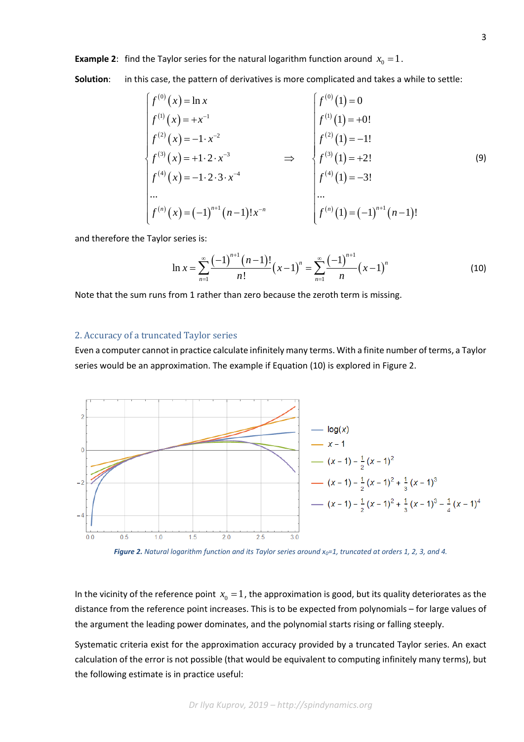**Example 2**: find the Taylor series for the natural logarithm function around  $x_0 = 1$ .

**Solution**: in this case, the pattern of derivatives is more complicated and takes a while to settle:

$$
\begin{cases}\nf^{(0)}(x) = \ln x \\
f^{(1)}(x) = +x^{-1} \\
f^{(2)}(x) = -1 \cdot x^{-2} \\
f^{(3)}(x) = +1 \cdot 2 \cdot x^{-3} \\
f^{(4)}(x) = -1 \cdot 2 \cdot 3 \cdot x^{-4} \\
\vdots \\
f^{(n)}(x) = (-1)^{n+1} (n-1)! x^{-n}\n\end{cases}\n\Rightarrow\n\begin{cases}\nf^{(0)}(1) = 0 \\
f^{(1)}(1) = +0! \\
f^{(2)}(1) = -1! \\
f^{(3)}(1) = +2! \\
f^{(4)}(1) = -3!\n\end{cases}
$$
\n(9)

and therefore the Taylor series is:

$$
\ln x = \sum_{n=1}^{\infty} \frac{(-1)^{n+1} (n-1)!}{n!} (x-1)^n = \sum_{n=1}^{\infty} \frac{(-1)^{n+1}}{n} (x-1)^n \tag{10}
$$

Note that the sum runs from 1 rather than zero because the zeroth term is missing.

## 2. Accuracy of a truncated Taylor series

Even a computer cannot in practice calculate infinitely many terms. With a finite number of terms, a Taylor series would be an approximation. The example if Equation (10) is explored in Figure 2.



*Figure 2. Natural logarithm function and its Taylor series around x0=1, truncated at orders 1, 2, 3, and 4.*

In the vicinity of the reference point  $x_0 = 1$ , the approximation is good, but its quality deteriorates as the distance from the reference point increases. This is to be expected from polynomials – for large values of the argument the leading power dominates, and the polynomial starts rising or falling steeply.

Systematic criteria exist for the approximation accuracy provided by a truncated Taylor series. An exact calculation of the error is not possible (that would be equivalent to computing infinitely many terms), but the following estimate is in practice useful: